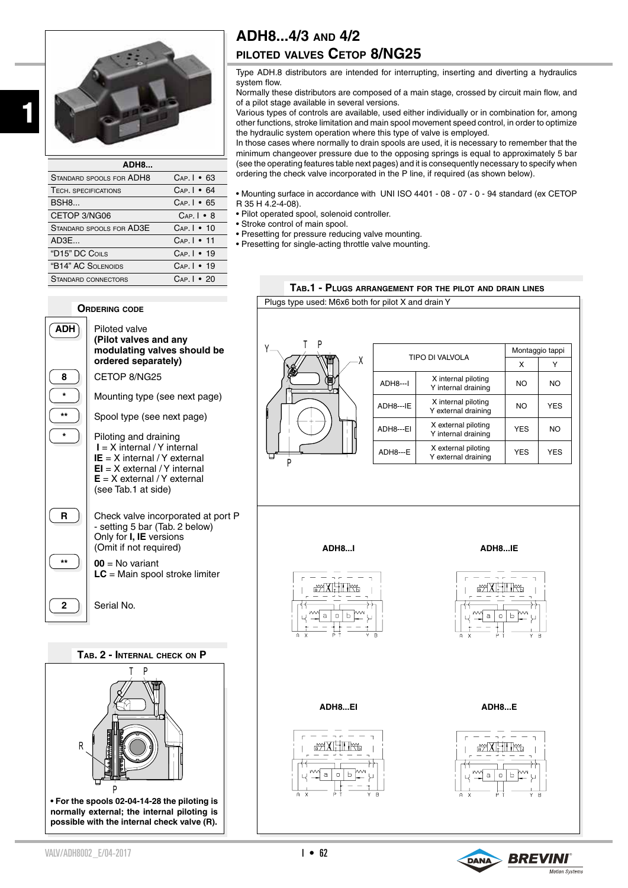

| ADH8                        |                     |
|-----------------------------|---------------------|
| STANDARD SPOOLS FOR ADH8    | $Cap.I - 63$        |
| <b>TECH. SPECIFICATIONS</b> | $Cap.$   $\cdot$ 64 |
| <b>BSH8</b>                 | $Cap.I - 65$        |
| CETOP 3/NG06                | $Cap.I \cdot 8$     |
| STANDARD SPOOLS FOR AD3E    | $Cap.I - 10$        |
| AD3E                        | $Cap.I - 11$        |
| "D15" DC COILS              | $Cap.I - 19$        |
| "B14" AC SOLENOIDS          | $Cap.I - 19$        |
| STANDARD CONNECTORS         | $Cap.I - 20$        |

# **ADH8...4/3 and 4/2**

## **piloted valves Cetop 8/NG25**

Type ADH.8 distributors are intended for interrupting, inserting and diverting a hydraulics system flow.

Normally these distributors are composed of a main stage, crossed by circuit main flow, and of a pilot stage available in several versions.

Various types of controls are available, used either individually or in combination for, among other functions, stroke limitation and main spool movement speed control, in order to optimize the hydraulic system operation where this type of valve is employed.

In those cases where normally to drain spools are used, it is necessary to remember that the minimum changeover pressure due to the opposing springs is equal to approximately 5 bar (see the operating features table next pages) and it is consequently necessary to specify when ordering the check valve incorporated in the P line, if required (as shown below).

• Mounting surface in accordance with UNI ISO 4401 - 08 - 07 - 0 - 94 standard (ex CETOP R 35 H 4.2-4-08).

- Pilot operated spool, solenoid controller.
- Stroke control of main spool.
- Presetting for pressure reducing valve mounting.
- Presetting for single-acting throttle valve mounting.



## **Ordering code**



(see Tab.1 at side)

**R R** Check valve incorporated at port P - setting 5 bar (Tab. 2 below) Only for **I, IE** versions (Omit if not required) \*\*  $\begin{bmatrix} 1 \\ 0 \\ 0 \\ 0 \\ 0 \\ 0 \\ 0 \\ 0 \\ 0 \\ 0 \end{bmatrix}$  **00** = No variant

**LC** = Main spool stroke limiter

**2 1** Serial No.

T P P R **Tab. 2 - Internal check on P • For the spools 02-04-14-28 the piloting is normally external; the internal piloting is possible with the internal check valve (R).**



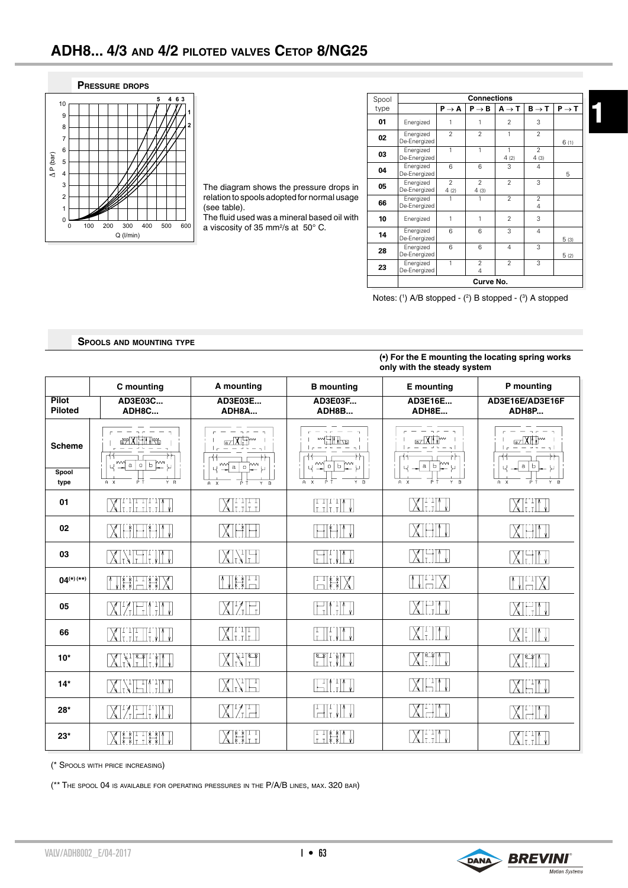

The diagram shows the pressure drops in relation to spools adopted for normal usage (see table).

The fluid used was a mineral based oil with a viscosity of 35 mm<sup>2</sup>/s at 50° C.

| Spool | <b>Connections</b>        |                        |                                  |                      |                        |                   |
|-------|---------------------------|------------------------|----------------------------------|----------------------|------------------------|-------------------|
| type  |                           | $P \rightarrow A$      | $P \rightarrow B$                | $A \rightarrow T$    | $B \rightarrow T$      | $P \rightarrow T$ |
| 01    | Energized                 | 1                      | 1                                | $\overline{2}$       | 3                      |                   |
| 02    | Energized<br>De-Energized | $\mathfrak{p}$         | $\mathfrak{p}$                   | 1                    | $\mathfrak{p}$         | 6(1)              |
| 03    | Energized<br>De-Energized | $\mathbf{1}$           | $\mathbf{1}$                     | $\mathbf{1}$<br>4(2) | $\mathfrak{p}$<br>4(3) |                   |
| 04    | Energized<br>De-Energized | 6                      | 6                                | 3                    | 4                      | 5                 |
| 05    | Energized<br>De-Energized | $\overline{2}$<br>4(2) | $\overline{2}$<br>4(3)           | $\overline{2}$       | 3                      |                   |
| 66    | Energized<br>De-Energized | 1                      | 1                                | $\mathfrak{p}$       | $\overline{2}$<br>4    |                   |
| 10    | Energized                 | 1                      | 1                                | $\mathfrak{p}$       | 3                      |                   |
| 14    | Energized<br>De-Energized | 6                      | 6                                | 3                    | $\overline{4}$         | 5(3)              |
| 28    | Energized<br>De-Energized | 6                      | 6                                | $\overline{4}$       | 3                      | 5(2)              |
| 23    | Energized<br>De-Energized | 1                      | $\overline{2}$<br>$\overline{4}$ | $\mathfrak{p}$       | 3                      |                   |
|       | Curve No.                 |                        |                                  |                      |                        |                   |

Notes: (1) A/B stopped - (2) B stopped - (3) A stopped

### **Spools and mounting type**

#### **(•) For the E mounting the locating spring works only with the steady system**

|                                | C mounting                                                                                                                                                                                                                                                                                                                                                                                                                                                     | A mounting                                                                                                                                                                           | <b>B</b> mounting                                           | <b>E</b> mounting                 | P mounting                    |
|--------------------------------|----------------------------------------------------------------------------------------------------------------------------------------------------------------------------------------------------------------------------------------------------------------------------------------------------------------------------------------------------------------------------------------------------------------------------------------------------------------|--------------------------------------------------------------------------------------------------------------------------------------------------------------------------------------|-------------------------------------------------------------|-----------------------------------|-------------------------------|
| <b>Pilot</b><br><b>Piloted</b> | AD3E03C<br>ADH8C                                                                                                                                                                                                                                                                                                                                                                                                                                               | AD3E03E<br>ADH8A                                                                                                                                                                     | AD3E03F<br>ADH8B                                            | AD3E16E<br>ADH8E                  | AD3E16E/AD3E16F<br>ADH8P      |
| <b>Scheme</b>                  | ay XI HITIYYA<br>m<br>$\mathtt{a}$<br>Ь<br>$\circ$<br>Ч                                                                                                                                                                                                                                                                                                                                                                                                        | WМ<br>$a \mid o$<br>Υ                                                                                                                                                                | <b>HITI<sub>Na</sub></b><br>$\mathcal{L}$<br>w<br>0 b <br>Ы | <b>EXHM</b><br>$a \mid$<br>Ь<br>Ч | <del>®</del> ∕X∏™<br>a b<br>Ч |
| Spool<br>type                  | ьŦ<br>Y B<br>$A \times$                                                                                                                                                                                                                                                                                                                                                                                                                                        | $A \times$<br>Y B<br>P                                                                                                                                                               | B<br>$A \times$<br>Y.                                       | $\mathbf{B}$<br>$A \times$<br>Y.  | $Y - B$<br>$A$ $X$<br>ΡŤ      |
| 01                             | $\left[\right.$ $\left[\right.$ $\left.\right.$ $\left.\left.\right.$ $\left.\right.$ $\left.\right.$ $\left.\right.$ $\left.\right.$ $\left.\right.$ $\left.\right.$ $\left.\right.$ $\left.\right.$ $\left.\right.$ $\left.\right.$ $\left.\right.$ $\left.\right.$ $\left.\right.$ $\left.\right.$ $\left.\right.$ $\left.\right.$ $\left.\right.$ $\left.\right.$ $\left.\right.$ $\left.\right.$ $\left.\right.$ $\left.\right.$ $\left.\right.$ $\left$  | XIIIII                                                                                                                                                                               | $\begin{bmatrix} 1 & 1 & 1 \\ 1 & 1 & 1 \end{bmatrix}$      | $X$ i i $\mathcal{W}$             | $\chi$ i i $\mathbb{N}$ v     |
| 02                             | IXT <del>PITTIFITT</del> I                                                                                                                                                                                                                                                                                                                                                                                                                                     | XHA                                                                                                                                                                                  | <b>HILM</b>                                                 | <b>MHI J</b>                      | XIHIN                         |
| 03                             | <b>XEELIN</b>                                                                                                                                                                                                                                                                                                                                                                                                                                                  | XNH                                                                                                                                                                                  | FII JM                                                      | XHIV                              | MHI J                         |
| $04^{(*)}$ (**)                | NHHHX                                                                                                                                                                                                                                                                                                                                                                                                                                                          | $\left[\begin{array}{c} \begin{array}{c} \text{array}{c} \text{array}{c} \end{array} & \begin{array}{c} \text{array}{c} \text{array} \end{array} \\ \text{array} \end{array}\right]$ | HHX                                                         | MHX                               | HHX                           |
| 05                             | <b>XIZEILIN</b>                                                                                                                                                                                                                                                                                                                                                                                                                                                | XYF.                                                                                                                                                                                 | FILIM                                                       | XEM                               | MEM                           |
| 66                             | $\left[\right.$ $\left[\right.$ $\left.\right.$ $\left.\right.$ $\left.\right.$ $\left.\right.$ $\left.\right.$ $\left.\right.$ $\left.\right.$ $\left.\right.$ $\left.\right.$ $\left.\right.$ $\left.\right.$ $\left.\right.$ $\left.\right.$ $\left.\right.$ $\left.\right.$ $\left.\right.$ $\left.\right.$ $\left.\right.$ $\left.\right.$ $\left.\right.$ $\left.\right.$ $\left.\right.$ $\left.\right.$ $\left.\right.$ $\left.\right.$ $\left.\right$ | XEE                                                                                                                                                                                  | II-VII V<br>$\begin{bmatrix} 1 \\ 1 \end{bmatrix}$          | XIIIT                             | $\chi$ i II J                 |
| $10*$                          | $\left[\frac{1}{\sqrt{2}}\right]$                                                                                                                                                                                                                                                                                                                                                                                                                              | MVFI                                                                                                                                                                                 | <b>THEFT</b>                                                | XHI                               | IXI. ITT                      |
| $14*$                          | $\boxed{\text{X1}\text{N}}\text{H1}\text{M}$                                                                                                                                                                                                                                                                                                                                                                                                                   | XM                                                                                                                                                                                   | HI IN                                                       | MHIT                              | XHI J                         |
| $28*$                          | $\left[\right]$ $\left[\right]$ $\left[\right]$ $\left[\right]$ $\left[\right]$ $\left[\right]$ $\left[\right]$                                                                                                                                                                                                                                                                                                                                                | XIZET                                                                                                                                                                                | FIT JM                                                      | MHIT                              | <b>XEIL</b>                   |
| $23*$                          | $X_{\cdots}$                                                                                                                                                                                                                                                                                                                                                                                                                                                   | XHH                                                                                                                                                                                  |                                                             | $X$ i i $\parallel$ v             | $\boxtimes$ l $\Box$          |

(\* Spools with price increasing)

(\*\* The spool 04 is available for operating pressures in the P/A/B lines, max. 320 bar)